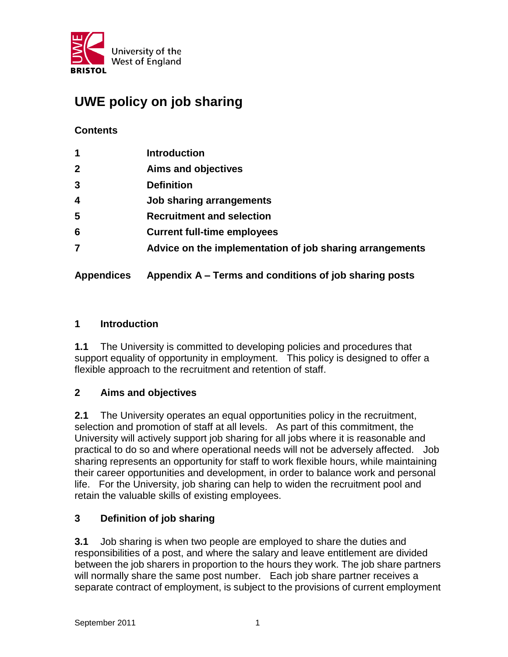

# **UWE policy on job sharing**

## **Contents**

| $\mathbf 1$             | <b>Introduction</b>                                      |
|-------------------------|----------------------------------------------------------|
| $\mathbf{2}$            | <b>Aims and objectives</b>                               |
| $\overline{3}$          | <b>Definition</b>                                        |
| $\overline{\mathbf{4}}$ | <b>Job sharing arrangements</b>                          |
| 5                       | <b>Recruitment and selection</b>                         |
| 6                       | <b>Current full-time employees</b>                       |
| 7                       | Advice on the implementation of job sharing arrangements |
|                         |                                                          |

# **Appendices Appendix A – Terms and conditions of job sharing posts**

#### **1 Introduction**

**1.1** The University is committed to developing policies and procedures that support equality of opportunity in employment. This policy is designed to offer a flexible approach to the recruitment and retention of staff.

## **2 Aims and objectives**

**2.1** The University operates an equal opportunities policy in the recruitment, selection and promotion of staff at all levels. As part of this commitment, the University will actively support job sharing for all jobs where it is reasonable and practical to do so and where operational needs will not be adversely affected. Job sharing represents an opportunity for staff to work flexible hours, while maintaining their career opportunities and development, in order to balance work and personal life. For the University, job sharing can help to widen the recruitment pool and retain the valuable skills of existing employees.

## **3 Definition of job sharing**

**3.1** Job sharing is when two people are employed to share the duties and responsibilities of a post, and where the salary and leave entitlement are divided between the job sharers in proportion to the hours they work. The job share partners will normally share the same post number. Each job share partner receives a separate contract of employment, is subject to the provisions of current employment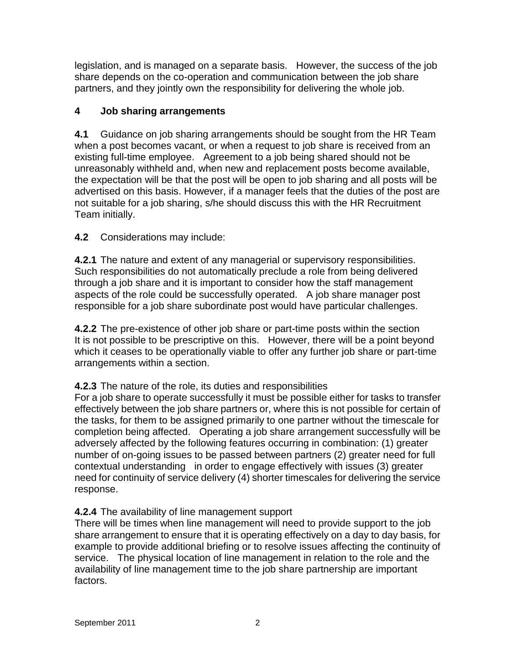legislation, and is managed on a separate basis. However, the success of the job share depends on the co-operation and communication between the job share partners, and they jointly own the responsibility for delivering the whole job.

# **4 Job sharing arrangements**

**4.1** Guidance on job sharing arrangements should be sought from the HR Team when a post becomes vacant, or when a request to job share is received from an existing full-time employee. Agreement to a job being shared should not be unreasonably withheld and, when new and replacement posts become available, the expectation will be that the post will be open to job sharing and all posts will be advertised on this basis. However, if a manager feels that the duties of the post are not suitable for a job sharing, s/he should discuss this with the HR Recruitment Team initially.

# **4.2** Considerations may include:

**4.2.1** The nature and extent of any managerial or supervisory responsibilities. Such responsibilities do not automatically preclude a role from being delivered through a job share and it is important to consider how the staff management aspects of the role could be successfully operated. A job share manager post responsible for a job share subordinate post would have particular challenges.

**4.2.2** The pre-existence of other job share or part-time posts within the section It is not possible to be prescriptive on this. However, there will be a point beyond which it ceases to be operationally viable to offer any further job share or part-time arrangements within a section.

## **4.2.3** The nature of the role, its duties and responsibilities

For a job share to operate successfully it must be possible either for tasks to transfer effectively between the job share partners or, where this is not possible for certain of the tasks, for them to be assigned primarily to one partner without the timescale for completion being affected. Operating a job share arrangement successfully will be adversely affected by the following features occurring in combination: (1) greater number of on-going issues to be passed between partners (2) greater need for full contextual understanding in order to engage effectively with issues (3) greater need for continuity of service delivery (4) shorter timescales for delivering the service response.

## **4.2.4** The availability of line management support

There will be times when line management will need to provide support to the job share arrangement to ensure that it is operating effectively on a day to day basis, for example to provide additional briefing or to resolve issues affecting the continuity of service. The physical location of line management in relation to the role and the availability of line management time to the job share partnership are important factors.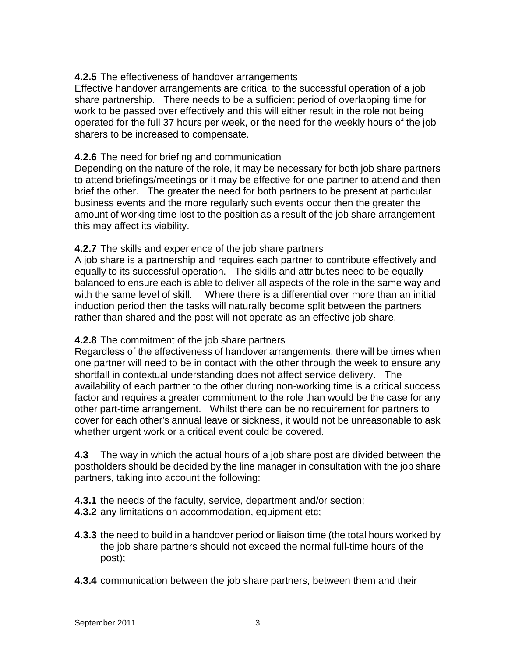#### **4.2.5** The effectiveness of handover arrangements

Effective handover arrangements are critical to the successful operation of a job share partnership. There needs to be a sufficient period of overlapping time for work to be passed over effectively and this will either result in the role not being operated for the full 37 hours per week, or the need for the weekly hours of the job sharers to be increased to compensate.

#### **4.2.6** The need for briefing and communication

Depending on the nature of the role, it may be necessary for both job share partners to attend briefings/meetings or it may be effective for one partner to attend and then brief the other. The greater the need for both partners to be present at particular business events and the more regularly such events occur then the greater the amount of working time lost to the position as a result of the job share arrangement this may affect its viability.

#### **4.2.7** The skills and experience of the job share partners

A job share is a partnership and requires each partner to contribute effectively and equally to its successful operation. The skills and attributes need to be equally balanced to ensure each is able to deliver all aspects of the role in the same way and with the same level of skill. Where there is a differential over more than an initial induction period then the tasks will naturally become split between the partners rather than shared and the post will not operate as an effective job share.

## **4.2.8** The commitment of the job share partners

Regardless of the effectiveness of handover arrangements, there will be times when one partner will need to be in contact with the other through the week to ensure any shortfall in contextual understanding does not affect service delivery. The availability of each partner to the other during non-working time is a critical success factor and requires a greater commitment to the role than would be the case for any other part-time arrangement. Whilst there can be no requirement for partners to cover for each other's annual leave or sickness, it would not be unreasonable to ask whether urgent work or a critical event could be covered.

**4.3** The way in which the actual hours of a job share post are divided between the postholders should be decided by the line manager in consultation with the job share partners, taking into account the following:

**4.3.1** the needs of the faculty, service, department and/or section;

- **4.3.2** any limitations on accommodation, equipment etc;
- **4.3.3** the need to build in a handover period or liaison time (the total hours worked by the job share partners should not exceed the normal full-time hours of the post);
- **4.3.4** communication between the job share partners, between them and their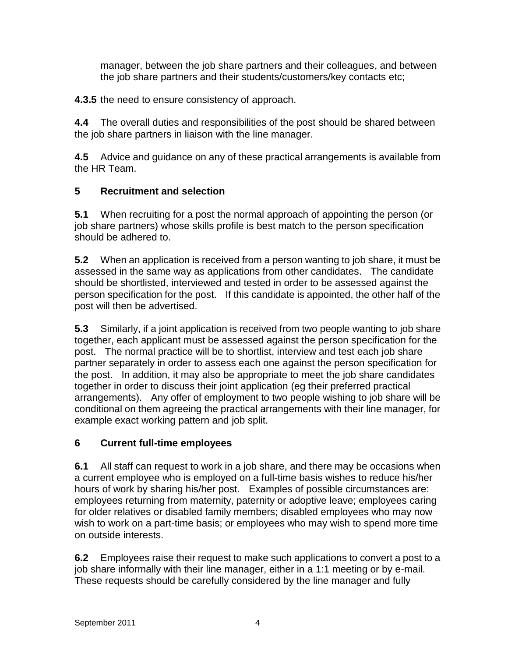manager, between the job share partners and their colleagues, and between the job share partners and their students/customers/key contacts etc;

**4.3.5** the need to ensure consistency of approach.

**4.4** The overall duties and responsibilities of the post should be shared between the job share partners in liaison with the line manager.

**4.5** Advice and guidance on any of these practical arrangements is available from the HR Team.

# **5 Recruitment and selection**

**5.1** When recruiting for a post the normal approach of appointing the person (or job share partners) whose skills profile is best match to the person specification should be adhered to.

**5.2** When an application is received from a person wanting to job share, it must be assessed in the same way as applications from other candidates. The candidate should be shortlisted, interviewed and tested in order to be assessed against the person specification for the post. If this candidate is appointed, the other half of the post will then be advertised.

**5.3** Similarly, if a joint application is received from two people wanting to job share together, each applicant must be assessed against the person specification for the post. The normal practice will be to shortlist, interview and test each job share partner separately in order to assess each one against the person specification for the post. In addition, it may also be appropriate to meet the job share candidates together in order to discuss their joint application (eg their preferred practical arrangements). Any offer of employment to two people wishing to job share will be conditional on them agreeing the practical arrangements with their line manager, for example exact working pattern and job split.

# **6 Current full-time employees**

**6.1** All staff can request to work in a job share, and there may be occasions when a current employee who is employed on a full-time basis wishes to reduce his/her hours of work by sharing his/her post. Examples of possible circumstances are: employees returning from maternity, paternity or adoptive leave; employees caring for older relatives or disabled family members; disabled employees who may now wish to work on a part-time basis; or employees who may wish to spend more time on outside interests.

**6.2** Employees raise their request to make such applications to convert a post to a job share informally with their line manager, either in a 1:1 meeting or by e-mail. These requests should be carefully considered by the line manager and fully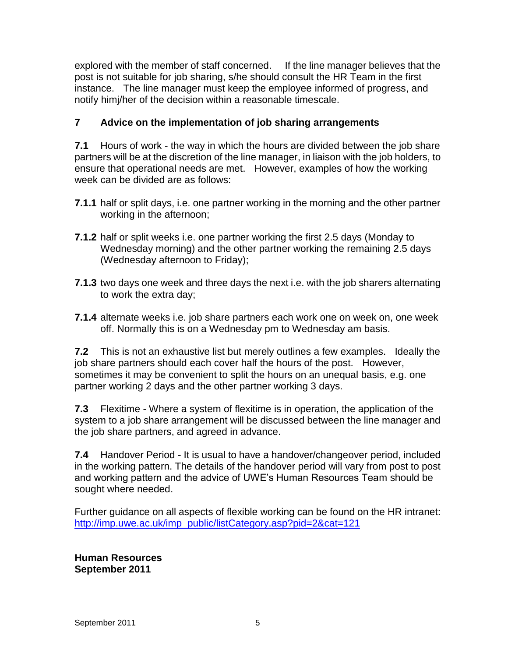explored with the member of staff concerned. If the line manager believes that the post is not suitable for job sharing, s/he should consult the HR Team in the first instance. The line manager must keep the employee informed of progress, and notify himj/her of the decision within a reasonable timescale.

# **7 Advice on the implementation of job sharing arrangements**

**7.1** Hours of work - the way in which the hours are divided between the job share partners will be at the discretion of the line manager, in liaison with the job holders, to ensure that operational needs are met. However, examples of how the working week can be divided are as follows:

- **7.1.1** half or split days, i.e. one partner working in the morning and the other partner working in the afternoon;
- **7.1.2** half or split weeks i.e. one partner working the first 2.5 days (Monday to Wednesday morning) and the other partner working the remaining 2.5 days (Wednesday afternoon to Friday);
- **7.1.3** two days one week and three days the next i.e. with the job sharers alternating to work the extra day;
- **7.1.4** alternate weeks i.e. job share partners each work one on week on, one week off. Normally this is on a Wednesday pm to Wednesday am basis.

**7.2** This is not an exhaustive list but merely outlines a few examples. Ideally the job share partners should each cover half the hours of the post. However, sometimes it may be convenient to split the hours on an unequal basis, e.g. one partner working 2 days and the other partner working 3 days.

**7.3** Flexitime - Where a system of flexitime is in operation, the application of the system to a job share arrangement will be discussed between the line manager and the job share partners, and agreed in advance.

**7.4** Handover Period - It is usual to have a handover/changeover period, included in the working pattern. The details of the handover period will vary from post to post and working pattern and the advice of UWE's Human Resources Team should be sought where needed.

Further guidance on all aspects of flexible working can be found on the HR intranet: [http://imp.uwe.ac.uk/imp\\_public/listCategory.asp?pid=2&cat=121](http://imp.uwe.ac.uk/imp_public/listCategory.asp?pid=2&cat=121)

**Human Resources September 2011**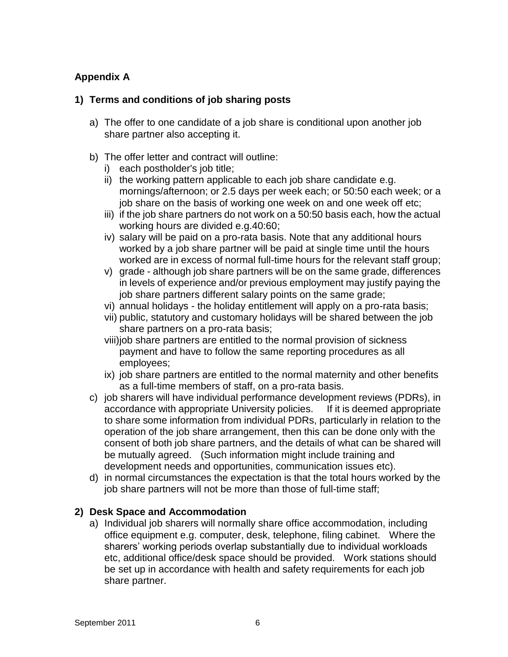# **Appendix A**

## **1) Terms and conditions of job sharing posts**

- a) The offer to one candidate of a job share is conditional upon another job share partner also accepting it.
- b) The offer letter and contract will outline:
	- i) each postholder's job title;
	- ii) the working pattern applicable to each job share candidate e.g. mornings/afternoon; or 2.5 days per week each; or 50:50 each week; or a job share on the basis of working one week on and one week off etc;
	- iii) if the job share partners do not work on a 50:50 basis each, how the actual working hours are divided e.g.40:60;
	- iv) salary will be paid on a pro-rata basis. Note that any additional hours worked by a job share partner will be paid at single time until the hours worked are in excess of normal full-time hours for the relevant staff group;
	- v) grade although job share partners will be on the same grade, differences in levels of experience and/or previous employment may justify paying the job share partners different salary points on the same grade;
	- vi) annual holidays the holiday entitlement will apply on a pro-rata basis;
	- vii) public, statutory and customary holidays will be shared between the job share partners on a pro-rata basis;
	- viii)job share partners are entitled to the normal provision of sickness payment and have to follow the same reporting procedures as all employees;
	- ix) job share partners are entitled to the normal maternity and other benefits as a full-time members of staff, on a pro-rata basis.
- c) job sharers will have individual performance development reviews (PDRs), in accordance with appropriate University policies. If it is deemed appropriate to share some information from individual PDRs, particularly in relation to the operation of the job share arrangement, then this can be done only with the consent of both job share partners, and the details of what can be shared will be mutually agreed. (Such information might include training and development needs and opportunities, communication issues etc).
- d) in normal circumstances the expectation is that the total hours worked by the job share partners will not be more than those of full-time staff;

# **2) Desk Space and Accommodation**

a) Individual job sharers will normally share office accommodation, including office equipment e.g. computer, desk, telephone, filing cabinet. Where the sharers' working periods overlap substantially due to individual workloads etc, additional office/desk space should be provided. Work stations should be set up in accordance with health and safety requirements for each job share partner.